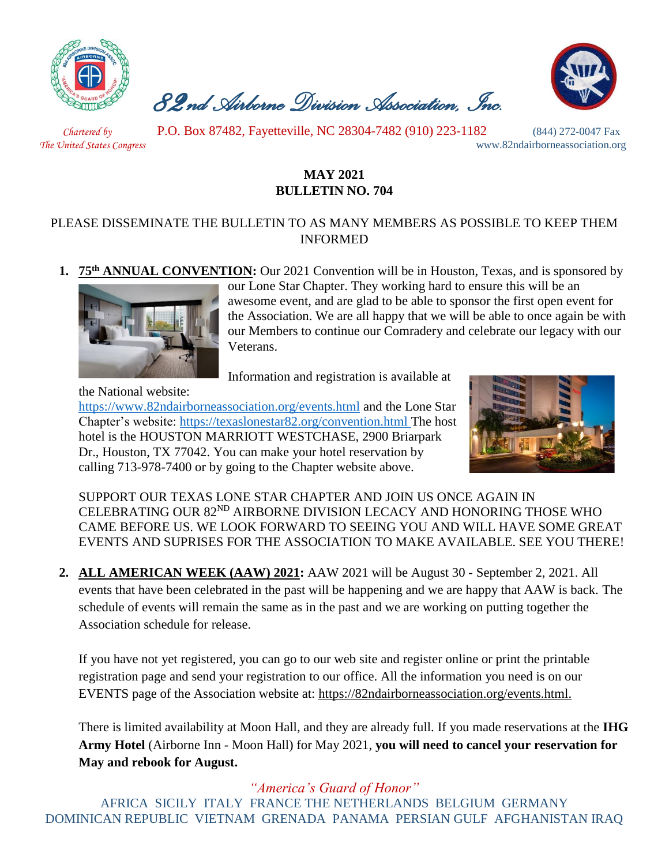

 *82nd Airborne Division Association, Inc.* 



 *Chartered by* P.O. Box 87482, Fayetteville, NC 28304-7482 (910) 223-1182 (844) 272-0047 Fax

*The United States Congress* www.82ndairborneassociation.org

## **MAY 2021 BULLETIN NO. 704**

## PLEASE DISSEMINATE THE BULLETIN TO AS MANY MEMBERS AS POSSIBLE TO KEEP THEM INFORMED

**1. 75th ANNUAL CONVENTION:** Our 2021 Convention will be in Houston, Texas, and is sponsored by



our Lone Star Chapter. They working hard to ensure this will be an awesome event, and are glad to be able to sponsor the first open event for the Association. We are all happy that we will be able to once again be with our Members to continue our Comradery and celebrate our legacy with our Veterans.

Information and registration is available at

the National website:

<https://www.82ndairborneassociation.org/events.html> and the Lone Star Chapter's website:<https://texaslonestar82.org/convention.html> The host hotel is the HOUSTON MARRIOTT WESTCHASE, 2900 Briarpark Dr., Houston, TX 77042. You can make your hotel reservation by calling 713-978-7400 or by going to the Chapter website above.



SUPPORT OUR TEXAS LONE STAR CHAPTER AND JOIN US ONCE AGAIN IN CELEBRATING OUR 82ND AIRBORNE DIVISION LECACY AND HONORING THOSE WHO CAME BEFORE US. WE LOOK FORWARD TO SEEING YOU AND WILL HAVE SOME GREAT EVENTS AND SUPRISES FOR THE ASSOCIATION TO MAKE AVAILABLE. SEE YOU THERE!

**2. ALL AMERICAN WEEK (AAW) 2021:** AAW 2021 will be August 30 - September 2, 2021. All events that have been celebrated in the past will be happening and we are happy that AAW is back. The schedule of events will remain the same as in the past and we are working on putting together the Association schedule for release.

If you have not yet registered, you can go to our web site and register online or print the printable registration page and send your registration to our office. All the information you need is on our EVENTS page of the Association website at: [https://82ndairborneassociation.org/events.html.](https://82ndairborneassociation.org/events.html)

There is limited availability at Moon Hall, and they are already full. If you made reservations at the **IHG Army Hotel** (Airborne Inn - Moon Hall) for May 2021, **you will need to cancel your reservation for May and rebook for August.**

*"America's Guard of Honor"* AFRICA SICILY ITALY FRANCE THE NETHERLANDS BELGIUM GERMANY DOMINICAN REPUBLIC VIETNAM GRENADA PANAMA PERSIAN GULF AFGHANISTAN IRAQ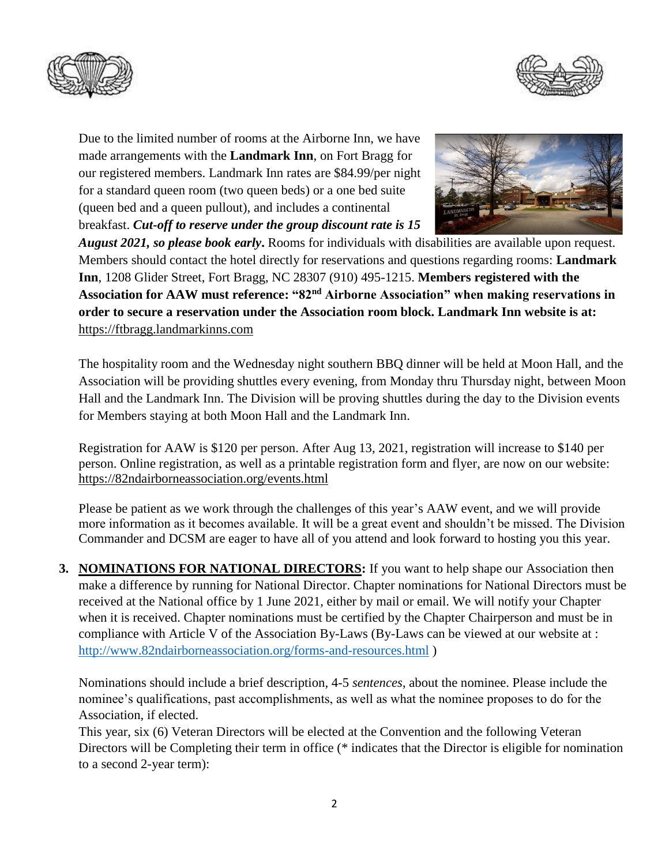



Due to the limited number of rooms at the Airborne Inn, we have made arrangements with the **Landmark Inn**, on Fort Bragg for our registered members. Landmark Inn rates are \$84.99/per night for a standard queen room (two queen beds) or a one bed suite (queen bed and a queen pullout), and includes a continental breakfast. *Cut-off to reserve under the group discount rate is 15* 



*August 2021, so please book early***.** Rooms for individuals with disabilities are available upon request. Members should contact the hotel directly for reservations and questions regarding rooms: **Landmark Inn**, 1208 Glider Street, Fort Bragg, NC 28307 (910) 495-1215. **Members registered with the Association for AAW must reference: "82nd Airborne Association" when making reservations in order to secure a reservation under the Association room block. Landmark Inn website is at:**  [https://ftbragg.landmarkinns.com](https://ftbragg.landmarkinns.com/)

The hospitality room and the Wednesday night southern BBQ dinner will be held at Moon Hall, and the Association will be providing shuttles every evening, from Monday thru Thursday night, between Moon Hall and the Landmark Inn. The Division will be proving shuttles during the day to the Division events for Members staying at both Moon Hall and the Landmark Inn.

Registration for AAW is \$120 per person. After Aug 13, 2021, registration will increase to \$140 per person. Online registration, as well as a printable registration form and flyer, are now on our website: <https://82ndairborneassociation.org/events.html>

Please be patient as we work through the challenges of this year's AAW event, and we will provide more information as it becomes available. It will be a great event and shouldn't be missed. The Division Commander and DCSM are eager to have all of you attend and look forward to hosting you this year.

**3. NOMINATIONS FOR NATIONAL DIRECTORS:** If you want to help shape our Association then make a difference by running for National Director. Chapter nominations for National Directors must be received at the National office by 1 June 2021, either by mail or email. We will notify your Chapter when it is received. Chapter nominations must be certified by the Chapter Chairperson and must be in compliance with Article V of the Association By-Laws (By-Laws can be viewed at our website at : <http://www.82ndairborneassociation.org/forms-and-resources.html> )

Nominations should include a brief description, 4-5 *sentences*, about the nominee. Please include the nominee's qualifications, past accomplishments, as well as what the nominee proposes to do for the Association, if elected.

This year, six (6) Veteran Directors will be elected at the Convention and the following Veteran Directors will be Completing their term in office (\* indicates that the Director is eligible for nomination to a second 2-year term):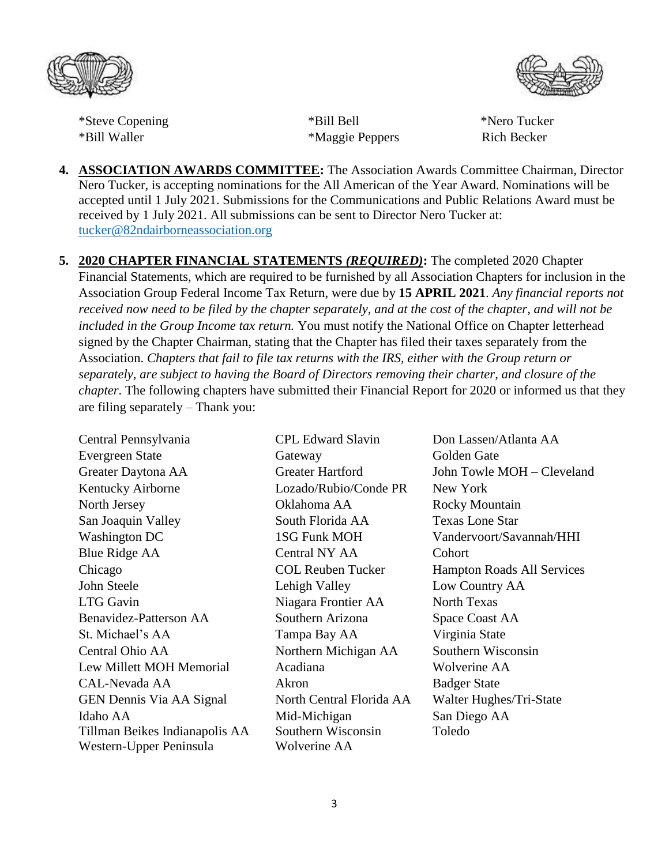



\*Steve Copening \*Bill Bell \*Nero Tucker\* \*Bill Waller \*Maggie Peppers Rich Becker

- **4. ASSOCIATION AWARDS COMMITTEE:** The Association Awards Committee Chairman, Director Nero Tucker, is accepting nominations for the All American of the Year Award. Nominations will be accepted until 1 July 2021. Submissions for the Communications and Public Relations Award must be received by 1 July 2021. All submissions can be sent to Director Nero Tucker at: [tucker@82ndairborneassociation.org](mailto:tucker@82ndairborneassociation.org)
- **5. 2020 CHAPTER FINANCIAL STATEMENTS** *(REQUIRED)***:** The completed 2020 Chapter Financial Statements, which are required to be furnished by all Association Chapters for inclusion in the Association Group Federal Income Tax Return, were due by **15 APRIL 2021**. *Any financial reports not received now need to be filed by the chapter separately, and at the cost of the chapter, and will not be included in the Group Income tax return.* You must notify the National Office on Chapter letterhead signed by the Chapter Chairman, stating that the Chapter has filed their taxes separately from the Association. *Chapters that fail to file tax returns with the IRS, either with the Group return or separately, are subject to having the Board of Directors removing their charter, and closure of the chapter*. The following chapters have submitted their Financial Report for 2020 or informed us that they are filing separately – Thank you:

| Central Pennsylvania           | <b>CPL Edward Slavin</b> | Don Lasse         |
|--------------------------------|--------------------------|-------------------|
| <b>Evergreen State</b>         | Gateway                  | Golden Ga         |
| Greater Daytona AA             | <b>Greater Hartford</b>  | John Towl         |
| Kentucky Airborne              | Lozado/Rubio/Conde PR    | New York          |
| North Jersey                   | Oklahoma AA              | Rocky Mo          |
| San Joaquin Valley             | South Florida AA         | <b>Texas Lon</b>  |
| Washington DC                  | 1SG Funk MOH             | Vandervoo         |
| <b>Blue Ridge AA</b>           | Central NY AA            | Cohort            |
| Chicago                        | <b>COL Reuben Tucker</b> | Hampton I         |
| John Steele                    | Lehigh Valley            | Low Coun          |
| LTG Gavin                      | Niagara Frontier AA      | North Tex         |
| Benavidez-Patterson AA         | Southern Arizona         | Space Coa         |
| St. Michael's AA               | Tampa Bay AA             | Virginia S        |
| Central Ohio AA                | Northern Michigan AA     | Southern \        |
| Lew Millett MOH Memorial       | Acadiana                 | Wolverine         |
| CAL-Nevada AA                  | Akron                    | <b>Badger Sta</b> |
| GEN Dennis Via AA Signal       | North Central Florida AA | Walter Hu         |
| Idaho AA                       | Mid-Michigan             | San Diego         |
| Tillman Beikes Indianapolis AA | Southern Wisconsin       | Toledo            |
| Western-Upper Peninsula        | Wolverine AA             |                   |

Don Lassen/Atlanta AA Golden Gate John Towle MOH – Cleveland Rocky Mountain Texas Lone Star Vandervoort/Savannah/HHI Hampton Roads All Services Low Country AA North Texas Space Coast AA Virginia State A Southern Wisconsin Wolverine AA Badger State AA Walter Hughes/Tri-State San Diego AA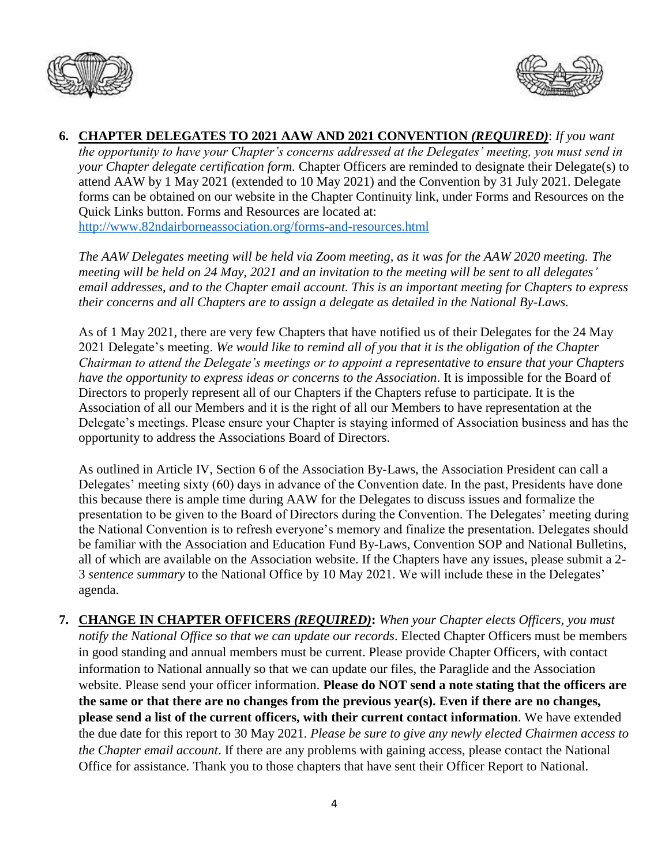



**6. CHAPTER DELEGATES TO 2021 AAW AND 2021 CONVENTION** *(REQUIRED)*: *If you want the opportunity to have your Chapter's concerns addressed at the Delegates' meeting, you must send in your Chapter delegate certification form.* Chapter Officers are reminded to designate their Delegate(s) to attend AAW by 1 May 2021 (extended to 10 May 2021) and the Convention by 31 July 2021. Delegate forms can be obtained on our website in the Chapter Continuity link, under Forms and Resources on the Quick Links button. Forms and Resources are located at: <http://www.82ndairborneassociation.org/forms-and-resources.html>

*The AAW Delegates meeting will be held via Zoom meeting, as it was for the AAW 2020 meeting. The meeting will be held on 24 May, 2021 and an invitation to the meeting will be sent to all delegates' email addresses, and to the Chapter email account. This is an important meeting for Chapters to express their concerns and all Chapters are to assign a delegate as detailed in the National By-Laws.* 

As of 1 May 2021, there are very few Chapters that have notified us of their Delegates for the 24 May 2021 Delegate's meeting. *We would like to remind all of you that it is the obligation of the Chapter Chairman to attend the Delegate's meetings or to appoint a representative to ensure that your Chapters have the opportunity to express ideas or concerns to the Association*. It is impossible for the Board of Directors to properly represent all of our Chapters if the Chapters refuse to participate. It is the Association of all our Members and it is the right of all our Members to have representation at the Delegate's meetings. Please ensure your Chapter is staying informed of Association business and has the opportunity to address the Associations Board of Directors.

As outlined in Article IV, Section 6 of the Association By-Laws, the Association President can call a Delegates' meeting sixty (60) days in advance of the Convention date. In the past, Presidents have done this because there is ample time during AAW for the Delegates to discuss issues and formalize the presentation to be given to the Board of Directors during the Convention. The Delegates' meeting during the National Convention is to refresh everyone's memory and finalize the presentation. Delegates should be familiar with the Association and Education Fund By-Laws, Convention SOP and National Bulletins, all of which are available on the Association website. If the Chapters have any issues, please submit a 2- 3 *sentence summary* to the National Office by 10 May 2021. We will include these in the Delegates' agenda.

**7. CHANGE IN CHAPTER OFFICERS** *(REQUIRED)***:** *When your Chapter elects Officers, you must notify the National Office so that we can update our records*. Elected Chapter Officers must be members in good standing and annual members must be current. Please provide Chapter Officers, with contact information to National annually so that we can update our files, the Paraglide and the Association website. Please send your officer information. **Please do NOT send a note stating that the officers are the same or that there are no changes from the previous year(s). Even if there are no changes, please send a list of the current officers, with their current contact information**. We have extended the due date for this report to 30 May 2021. *Please be sure to give any newly elected Chairmen access to the Chapter email account*. If there are any problems with gaining access, please contact the National Office for assistance. Thank you to those chapters that have sent their Officer Report to National.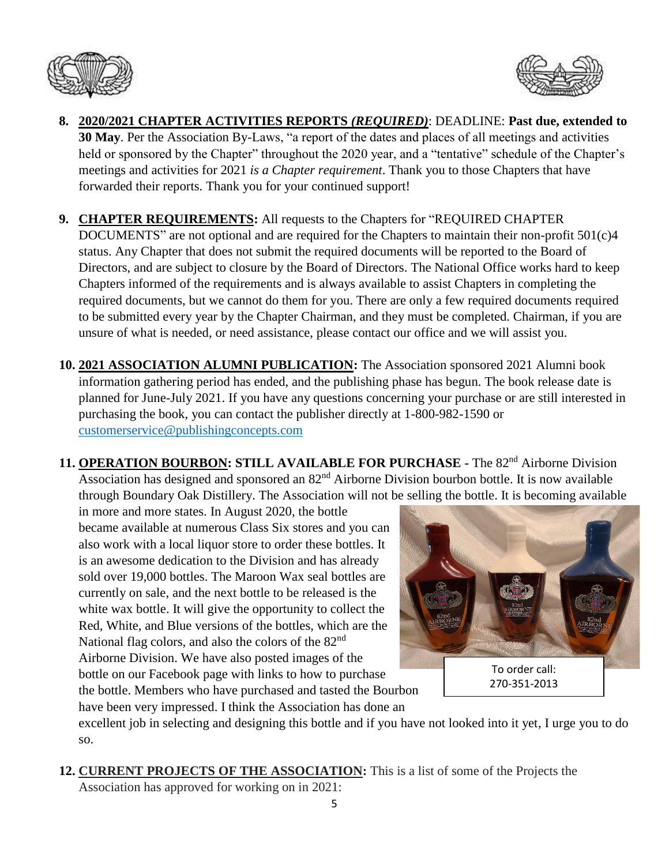



- **8. 2020/2021 CHAPTER ACTIVITIES REPORTS** *(REQUIRED)*: DEADLINE: **Past due, extended to 30 May**. Per the Association By-Laws, "a report of the dates and places of all meetings and activities held or sponsored by the Chapter" throughout the 2020 year, and a "tentative" schedule of the Chapter's meetings and activities for 2021 *is a Chapter requirement*. Thank you to those Chapters that have forwarded their reports. Thank you for your continued support!
- **9. CHAPTER REQUIREMENTS:** All requests to the Chapters for "REQUIRED CHAPTER DOCUMENTS" are not optional and are required for the Chapters to maintain their non-profit 501(c)4 status. Any Chapter that does not submit the required documents will be reported to the Board of Directors, and are subject to closure by the Board of Directors. The National Office works hard to keep Chapters informed of the requirements and is always available to assist Chapters in completing the required documents, but we cannot do them for you. There are only a few required documents required to be submitted every year by the Chapter Chairman, and they must be completed. Chairman, if you are unsure of what is needed, or need assistance, please contact our office and we will assist you.
- **10. 2021 ASSOCIATION ALUMNI PUBLICATION:** The Association sponsored 2021 Alumni book information gathering period has ended, and the publishing phase has begun. The book release date is planned for June-July 2021. If you have any questions concerning your purchase or are still interested in purchasing the book, you can contact the publisher directly at 1-800-982-1590 or [customerservice@publishingconcepts.com](mailto:customerservice@publishingconcepts.com)
- **11. OPERATION BOURBON: STILL AVAILABLE FOR PURCHASE -** The 82nd Airborne Division Association has designed and sponsored an 82<sup>nd</sup> Airborne Division bourbon bottle. It is now available through Boundary Oak Distillery. The Association will not be selling the bottle. It is becoming available

in more and more states. In August 2020, the bottle became available at numerous Class Six stores and you can also work with a local liquor store to order these bottles. It is an awesome dedication to the Division and has already sold over 19,000 bottles. The Maroon Wax seal bottles are currently on sale, and the next bottle to be released is the white wax bottle. It will give the opportunity to collect the Red, White, and Blue versions of the bottles, which are the National flag colors, and also the colors of the 82<sup>nd</sup> Airborne Division. We have also posted images of the bottle on our Facebook page with links to how to purchase the bottle. Members who have purchased and tasted the Bourbon have been very impressed. I think the Association has done an



excellent job in selecting and designing this bottle and if you have not looked into it yet, I urge you to do so.

**12. CURRENT PROJECTS OF THE ASSOCIATION:** This is a list of some of the Projects the Association has approved for working on in 2021: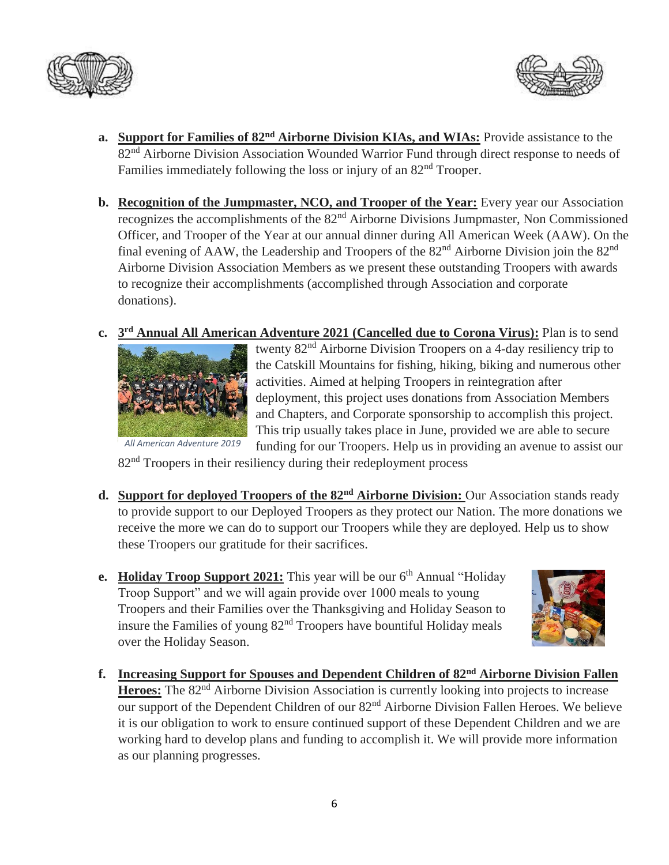



- **a. Support for Families of 82nd Airborne Division KIAs, and WIAs:** Provide assistance to the 82<sup>nd</sup> Airborne Division Association Wounded Warrior Fund through direct response to needs of Families immediately following the loss or injury of an  $82<sup>nd</sup>$  Trooper.
- **b.** Recognition of the Jumpmaster, NCO, and Trooper of the Year: Every year our Association recognizes the accomplishments of the 82nd Airborne Divisions Jumpmaster, Non Commissioned Officer, and Trooper of the Year at our annual dinner during All American Week (AAW). On the final evening of AAW, the Leadership and Troopers of the  $82<sup>nd</sup>$  Airborne Division join the  $82<sup>nd</sup>$ Airborne Division Association Members as we present these outstanding Troopers with awards to recognize their accomplishments (accomplished through Association and corporate donations).
- **c. 3 rd Annual All American Adventure 2021 (Cancelled due to Corona Virus):** Plan is to send



twenty 82<sup>nd</sup> Airborne Division Troopers on a 4-day resiliency trip to the Catskill Mountains for fishing, hiking, biking and numerous other activities. Aimed at helping Troopers in reintegration after deployment, this project uses donations from Association Members and Chapters, and Corporate sponsorship to accomplish this project. This trip usually takes place in June, provided we are able to secure funding for our Troopers. Help us in providing an avenue to assist our

82<sup>nd</sup> Troopers in their resiliency during their redeployment process

- **d. Support for deployed Troopers of the 82nd Airborne Division:** Our Association stands ready to provide support to our Deployed Troopers as they protect our Nation. The more donations we receive the more we can do to support our Troopers while they are deployed. Help us to show these Troopers our gratitude for their sacrifices.
- **e. Holiday Troop Support 2021:** This year will be our  $6<sup>th</sup>$  Annual "Holiday" Troop Support" and we will again provide over 1000 meals to young Troopers and their Families over the Thanksgiving and Holiday Season to insure the Families of young  $82<sup>nd</sup>$  Troopers have bountiful Holiday meals over the Holiday Season.



**f. Increasing Support for Spouses and Dependent Children of 82nd Airborne Division Fallen**  Heroes: The 82<sup>nd</sup> Airborne Division Association is currently looking into projects to increase our support of the Dependent Children of our 82<sup>nd</sup> Airborne Division Fallen Heroes. We believe it is our obligation to work to ensure continued support of these Dependent Children and we are working hard to develop plans and funding to accomplish it. We will provide more information as our planning progresses.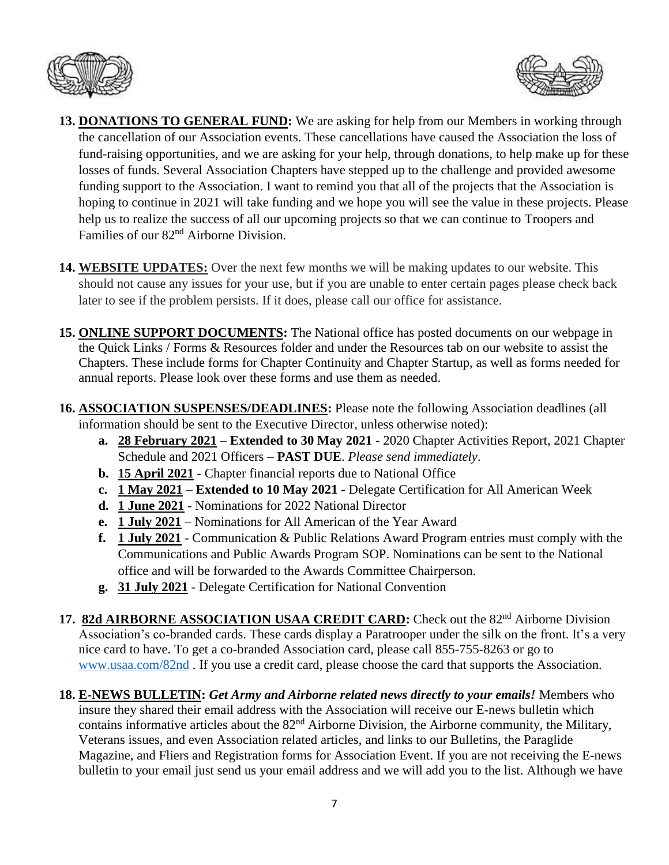



- **13. DONATIONS TO GENERAL FUND:** We are asking for help from our Members in working through the cancellation of our Association events. These cancellations have caused the Association the loss of fund-raising opportunities, and we are asking for your help, through donations, to help make up for these losses of funds. Several Association Chapters have stepped up to the challenge and provided awesome funding support to the Association. I want to remind you that all of the projects that the Association is hoping to continue in 2021 will take funding and we hope you will see the value in these projects. Please help us to realize the success of all our upcoming projects so that we can continue to Troopers and Families of our 82nd Airborne Division.
- **14. WEBSITE UPDATES:** Over the next few months we will be making updates to our website. This should not cause any issues for your use, but if you are unable to enter certain pages please check back later to see if the problem persists. If it does, please call our office for assistance.
- **15. ONLINE SUPPORT DOCUMENTS:** The National office has posted documents on our webpage in the Quick Links / Forms & Resources folder and under the Resources tab on our website to assist the Chapters. These include forms for Chapter Continuity and Chapter Startup, as well as forms needed for annual reports. Please look over these forms and use them as needed.
- **16. ASSOCIATION SUSPENSES/DEADLINES:** Please note the following Association deadlines (all information should be sent to the Executive Director, unless otherwise noted):
	- **a. 28 February 2021 Extended to 30 May 2021** 2020 Chapter Activities Report, 2021 Chapter Schedule and 2021 Officers – **PAST DUE**. *Please send immediately*.
	- **b. 15 April 2021** Chapter financial reports due to National Office
	- **c. 1 May 2021 Extended to 10 May 2021 -** Delegate Certification for All American Week
	- **d. 1 June 2021** Nominations for 2022 National Director
	- **e. 1 July 2021** Nominations for All American of the Year Award
	- **f. 1 July 2021** Communication & Public Relations Award Program entries must comply with the Communications and Public Awards Program SOP. Nominations can be sent to the National office and will be forwarded to the Awards Committee Chairperson.
	- **g. 31 July 2021** Delegate Certification for National Convention
- 17. 82d AIRBORNE ASSOCIATION USAA CREDIT CARD: Check out the 82<sup>nd</sup> Airborne Division Association's co-branded cards. These cards display a Paratrooper under the silk on the front. It's a very nice card to have. To get a co-branded Association card, please call 855-755-8263 or go to [www.usaa.com/82nd](http://www.usaa.com/82nd) . If you use a credit card, please choose the card that supports the Association.
- **18. E-NEWS BULLETIN:** *Get Army and Airborne related news directly to your emails!* Members who insure they shared their email address with the Association will receive our E-news bulletin which contains informative articles about the 82<sup>nd</sup> Airborne Division, the Airborne community, the Military, Veterans issues, and even Association related articles, and links to our Bulletins, the Paraglide Magazine, and Fliers and Registration forms for Association Event. If you are not receiving the E-news bulletin to your email just send us your email address and we will add you to the list. Although we have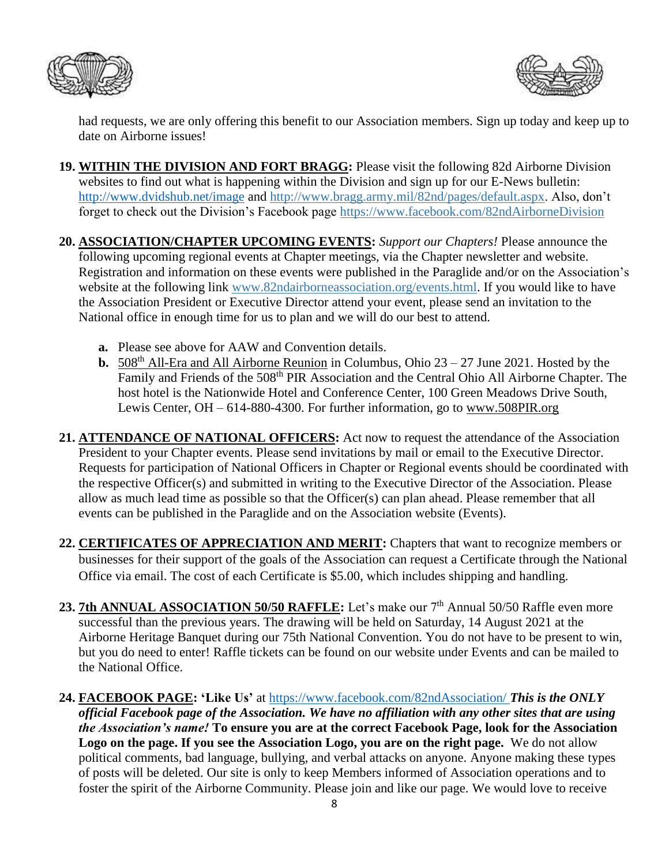



had requests, we are only offering this benefit to our Association members. Sign up today and keep up to date on Airborne issues!

- **19. WITHIN THE DIVISION AND FORT BRAGG:** Please visit the following 82d Airborne Division websites to find out what is happening within the Division and sign up for our E-News bulletin: <http://www.dvidshub.net/image> and [http://www.bragg.army.mil/82nd/pages/default.aspx.](http://www.bragg.army.mil/82ND/Pages/default.aspx) Also, don't forget to check out the Division's Facebook page<https://www.facebook.com/82ndAirborneDivision>
- **20. ASSOCIATION/CHAPTER UPCOMING EVENTS:** *Support our Chapters!* Please announce the following upcoming regional events at Chapter meetings, via the Chapter newsletter and website. Registration and information on these events were published in the Paraglide and/or on the Association's website at the following link [www.82ndairborneassociation.org/events.html.](http://www.82ndairborneassociation.org/events.html) If you would like to have the Association President or Executive Director attend your event, please send an invitation to the National office in enough time for us to plan and we will do our best to attend.
	- **a.** Please see above for AAW and Convention details.
	- **b.** 508<sup>th</sup> All-Era and All Airborne Reunion in Columbus, Ohio  $23 27$  June 2021. Hosted by the Family and Friends of the 508<sup>th</sup> PIR Association and the Central Ohio All Airborne Chapter. The host hotel is the Nationwide Hotel and Conference Center, 100 Green Meadows Drive South, Lewis Center, OH – 614-880-4300. For further information, go to [www.508PIR.org](http://www.508pir.org/)
- **21. ATTENDANCE OF NATIONAL OFFICERS:** Act now to request the attendance of the Association President to your Chapter events. Please send invitations by mail or email to the Executive Director. Requests for participation of National Officers in Chapter or Regional events should be coordinated with the respective Officer(s) and submitted in writing to the Executive Director of the Association. Please allow as much lead time as possible so that the Officer(s) can plan ahead. Please remember that all events can be published in the Paraglide and on the Association website (Events).
- **22. CERTIFICATES OF APPRECIATION AND MERIT:** Chapters that want to recognize members or businesses for their support of the goals of the Association can request a Certificate through the National Office via email. The cost of each Certificate is \$5.00, which includes shipping and handling.
- 23. 7th ANNUAL ASSOCIATION 50/50 RAFFLE: Let's make our 7<sup>th</sup> Annual 50/50 Raffle even more successful than the previous years. The drawing will be held on Saturday, 14 August 2021 at the Airborne Heritage Banquet during our 75th National Convention. You do not have to be present to win, but you do need to enter! Raffle tickets can be found on our website under Events and can be mailed to the National Office.
- **24. FACEBOOK PAGE: 'Like Us'** at<https://www.facebook.com/82ndAssociation/> *This is the ONLY official Facebook page of the Association. We have no affiliation with any other sites that are using the Association's name!* **To ensure you are at the correct Facebook Page, look for the Association Logo on the page. If you see the Association Logo, you are on the right page.** We do not allow political comments, bad language, bullying, and verbal attacks on anyone. Anyone making these types of posts will be deleted. Our site is only to keep Members informed of Association operations and to foster the spirit of the Airborne Community. Please join and like our page. We would love to receive